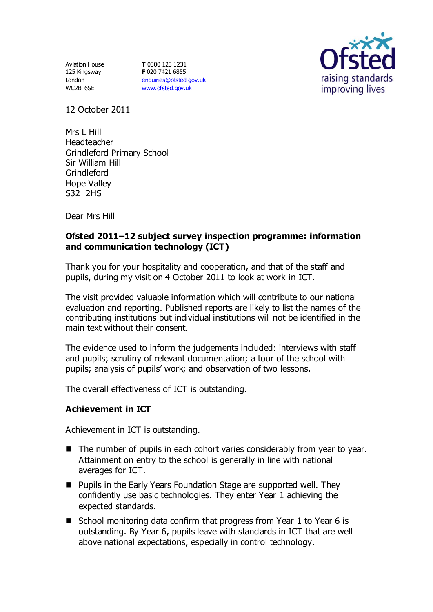Aviation House 125 Kingsway London WC2B 6SE

**T** 0300 123 1231 **F** 020 7421 6855 [enquiries@ofsted.gov.uk](mailto:enquiries@ofsted.gov.uk) [www.ofsted.gov.uk](http://www.ofsted.gov.uk/)



12 October 2011

Mrs L Hill Headteacher Grindleford Primary School Sir William Hill Grindleford Hope Valley S32 2HS

Dear Mrs Hill

## **Ofsted 2011–12 subject survey inspection programme: information and communication technology (ICT)**

Thank you for your hospitality and cooperation, and that of the staff and pupils, during my visit on 4 October 2011 to look at work in ICT.

The visit provided valuable information which will contribute to our national evaluation and reporting. Published reports are likely to list the names of the contributing institutions but individual institutions will not be identified in the main text without their consent.

The evidence used to inform the judgements included: interviews with staff and pupils; scrutiny of relevant documentation; a tour of the school with pupils; analysis of pupils' work; and observation of two lessons.

The overall effectiveness of ICT is outstanding.

# **Achievement in ICT**

Achievement in ICT is outstanding.

- The number of pupils in each cohort varies considerably from year to year. Attainment on entry to the school is generally in line with national averages for ICT.
- Pupils in the Early Years Foundation Stage are supported well. They confidently use basic technologies. They enter Year 1 achieving the expected standards.
- School monitoring data confirm that progress from Year 1 to Year 6 is outstanding. By Year 6, pupils leave with standards in ICT that are well above national expectations, especially in control technology.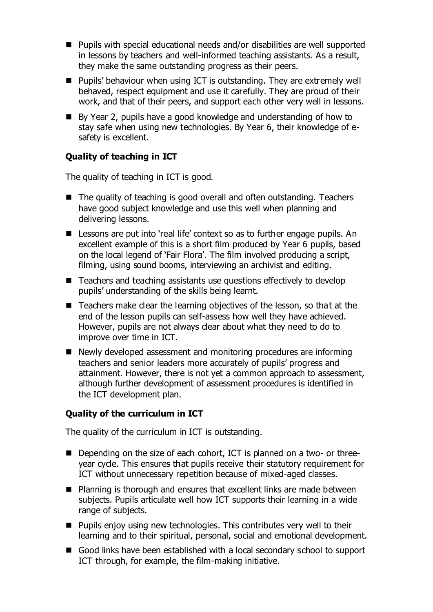- Pupils with special educational needs and/or disabilities are well supported in lessons by teachers and well-informed teaching assistants. As a result, they make the same outstanding progress as their peers.
- Pupils' behaviour when using ICT is outstanding. They are extremely well behaved, respect equipment and use it carefully. They are proud of their work, and that of their peers, and support each other very well in lessons.
- By Year 2, pupils have a good knowledge and understanding of how to stay safe when using new technologies. By Year 6, their knowledge of esafety is excellent.

## **Quality of teaching in ICT**

The quality of teaching in ICT is good.

- The quality of teaching is good overall and often outstanding. Teachers have good subject knowledge and use this well when planning and delivering lessons.
- Lessons are put into 'real life' context so as to further engage pupils. An excellent example of this is a short film produced by Year 6 pupils, based on the local legend of 'Fair Flora'. The film involved producing a script, filming, using sound booms, interviewing an archivist and editing.
- Teachers and teaching assistants use questions effectively to develop pupils' understanding of the skills being learnt.
- Teachers make clear the learning objectives of the lesson, so that at the end of the lesson pupils can self-assess how well they have achieved. However, pupils are not always clear about what they need to do to improve over time in ICT.
- Newly developed assessment and monitoring procedures are informing teachers and senior leaders more accurately of pupils' progress and attainment. However, there is not yet a common approach to assessment, although further development of assessment procedures is identified in the ICT development plan.

#### **Quality of the curriculum in ICT**

The quality of the curriculum in ICT is outstanding.

- Depending on the size of each cohort, ICT is planned on a two- or threeyear cycle. This ensures that pupils receive their statutory requirement for ICT without unnecessary repetition because of mixed-aged classes.
- Planning is thorough and ensures that excellent links are made between subjects. Pupils articulate well how ICT supports their learning in a wide range of subjects.
- $\blacksquare$  Pupils enjoy using new technologies. This contributes very well to their learning and to their spiritual, personal, social and emotional development.
- Good links have been established with a local secondary school to support ICT through, for example, the film-making initiative.